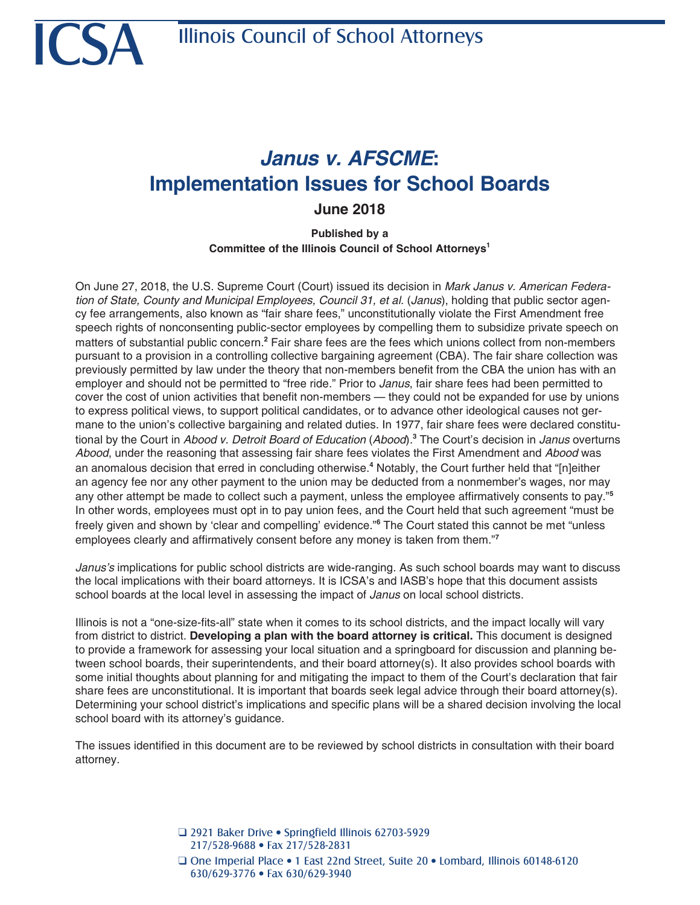# *Janus v. AFSCME***: Implementation Issues for School Boards**

**June 2018**

**Published by a Committee of the Illinois Council of School Attorneys1**

On June 27, 2018, the U.S. Supreme Court (Court) issued its decision in *Mark Janus v. American Federation of State, County and Municipal Employees, Council 31, et al.* (*Janus*), holding that public sector agency fee arrangements, also known as "fair share fees," unconstitutionally violate the First Amendment free speech rights of nonconsenting public-sector employees by compelling them to subsidize private speech on matters of substantial public concern.<sup>2</sup> Fair share fees are the fees which unions collect from non-members pursuant to a provision in a controlling collective bargaining agreement (CBA). The fair share collection was previously permitted by law under the theory that non-members benefit from the CBA the union has with an employer and should not be permitted to "free ride." Prior to *Janus*, fair share fees had been permitted to cover the cost of union activities that benefit non-members — they could not be expanded for use by unions to express political views, to support political candidates, or to advance other ideological causes not germane to the union's collective bargaining and related duties. In 1977, fair share fees were declared constitutional by the Court in *Abood v. Detroit Board of Education* (*Abood*)*.* **3** The Court's decision in *Janus* overturns *Abood*, under the reasoning that assessing fair share fees violates the First Amendment and *Abood* was an anomalous decision that erred in concluding otherwise.**<sup>4</sup>** Notably, the Court further held that "[n]either an agency fee nor any other payment to the union may be deducted from a nonmember's wages, nor may any other attempt be made to collect such a payment, unless the employee affirmatively consents to pay."**<sup>5</sup>** In other words, employees must opt in to pay union fees, and the Court held that such agreement "must be freely given and shown by 'clear and compelling' evidence."**<sup>6</sup>** The Court stated this cannot be met "unless employees clearly and affirmatively consent before any money is taken from them."**<sup>7</sup>**

*Janus's* implications for public school districts are wide-ranging. As such school boards may want to discuss the local implications with their board attorneys. It is ICSA's and IASB's hope that this document assists school boards at the local level in assessing the impact of *Janus* on local school districts.

Illinois is not a "one-size-fits-all" state when it comes to its school districts, and the impact locally will vary from district to district. **Developing a plan with the board attorney is critical.** This document is designed to provide a framework for assessing your local situation and a springboard for discussion and planning between school boards, their superintendents, and their board attorney(s). It also provides school boards with some initial thoughts about planning for and mitigating the impact to them of the Court's declaration that fair share fees are unconstitutional. It is important that boards seek legal advice through their board attorney(s). Determining your school district's implications and specific plans will be a shared decision involving the local school board with its attorney's guidance.

The issues identified in this document are to be reviewed by school districts in consultation with their board attorney.

> □ 2921 Baker Drive • Springfield Illinois 62703-5929 217/528-9688 • Fax 217/528-2831 Q One Imperial Place • 1 East 22nd Street, Suite 20 • Lombard, Illinois 60148-6120 630/629-3776 • Fax 630/629-3940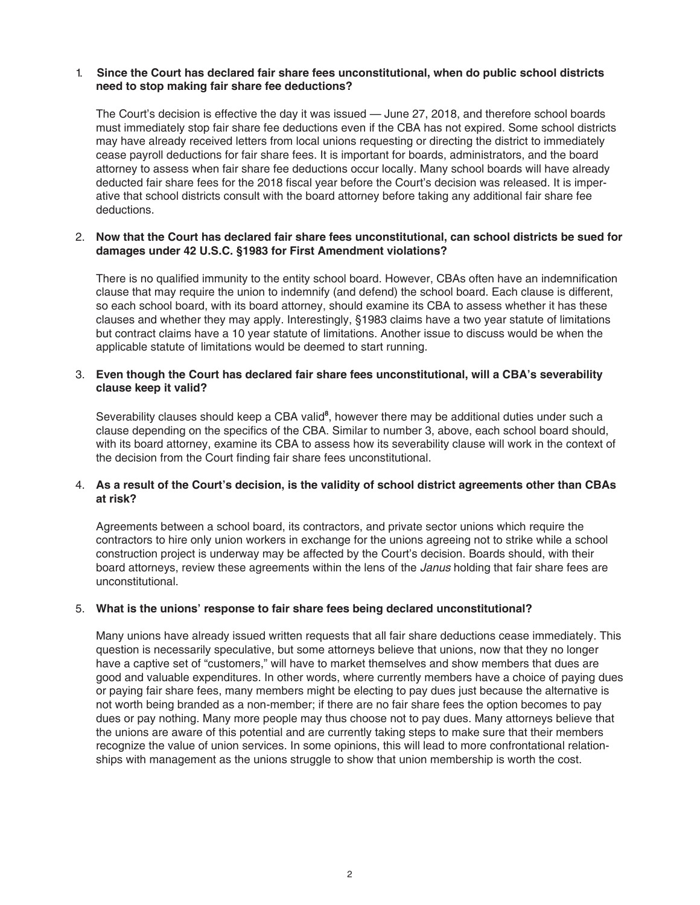### 1. **Since the Court has declared fair share fees unconstitutional, when do public school districts need to stop making fair share fee deductions?**

The Court's decision is effective the day it was issued — June 27, 2018, and therefore school boards must immediately stop fair share fee deductions even if the CBA has not expired. Some school districts may have already received letters from local unions requesting or directing the district to immediately cease payroll deductions for fair share fees. It is important for boards, administrators, and the board attorney to assess when fair share fee deductions occur locally. Many school boards will have already deducted fair share fees for the 2018 fiscal year before the Court's decision was released. It is imperative that school districts consult with the board attorney before taking any additional fair share fee deductions.

### 2. **Now that the Court has declared fair share fees unconstitutional, can school districts be sued for damages under 42 U.S.C. §1983 for First Amendment violations?**

There is no qualified immunity to the entity school board. However, CBAs often have an indemnification clause that may require the union to indemnify (and defend) the school board. Each clause is different, so each school board, with its board attorney, should examine its CBA to assess whether it has these clauses and whether they may apply. Interestingly, §1983 claims have a two year statute of limitations but contract claims have a 10 year statute of limitations. Another issue to discuss would be when the applicable statute of limitations would be deemed to start running.

### 3. **Even though the Court has declared fair share fees unconstitutional, will a CBA's severability clause keep it valid?**

Severability clauses should keep a CBA valid<sup>8</sup>, however there may be additional duties under such a clause depending on the specifics of the CBA. Similar to number 3, above, each school board should, with its board attorney, examine its CBA to assess how its severability clause will work in the context of the decision from the Court finding fair share fees unconstitutional.

## 4. **As a result of the Court's decision, is the validity of school district agreements other than CBAs at risk?**

Agreements between a school board, its contractors, and private sector unions which require the contractors to hire only union workers in exchange for the unions agreeing not to strike while a school construction project is underway may be affected by the Court's decision. Boards should, with their board attorneys, review these agreements within the lens of the *Janus* holding that fair share fees are unconstitutional.

#### 5. **What is the unions' response to fair share fees being declared unconstitutional?**

Many unions have already issued written requests that all fair share deductions cease immediately. This question is necessarily speculative, but some attorneys believe that unions, now that they no longer have a captive set of "customers," will have to market themselves and show members that dues are good and valuable expenditures. In other words, where currently members have a choice of paying dues or paying fair share fees, many members might be electing to pay dues just because the alternative is not worth being branded as a non-member; if there are no fair share fees the option becomes to pay dues or pay nothing. Many more people may thus choose not to pay dues. Many attorneys believe that the unions are aware of this potential and are currently taking steps to make sure that their members recognize the value of union services. In some opinions, this will lead to more confrontational relationships with management as the unions struggle to show that union membership is worth the cost.